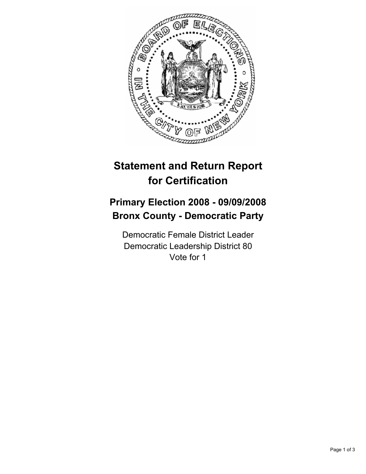

## **Statement and Return Report for Certification**

## **Primary Election 2008 - 09/09/2008 Bronx County - Democratic Party**

Democratic Female District Leader Democratic Leadership District 80 Vote for 1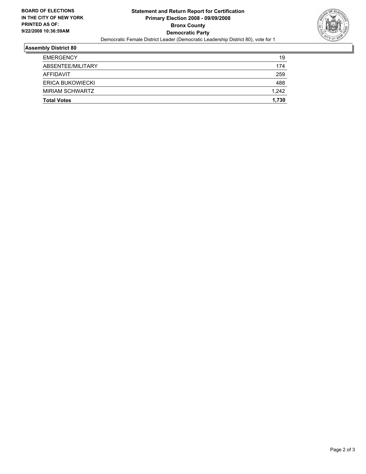

## **Assembly District 80**

| <b>EMERGENCY</b>   | 19    |
|--------------------|-------|
| ABSENTEE/MILITARY  | 174   |
| AFFIDAVIT          | 259   |
| ERICA BUKOWIECKI   | 488   |
| MIRIAM SCHWARTZ    | 1,242 |
| <b>Total Votes</b> | 1,730 |